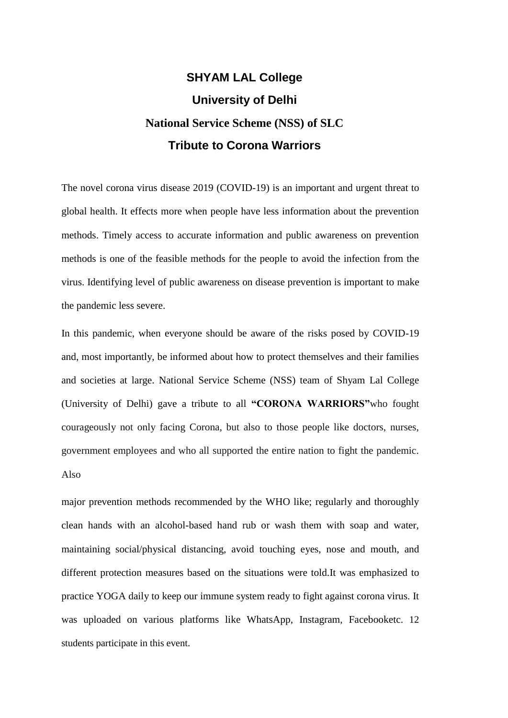## **SHYAM LAL College University of Delhi National Service Scheme (NSS) of SLC Tribute to Corona Warriors**

The novel corona virus disease 2019 (COVID-19) is an important and urgent threat to global health. It effects more when people have less information about the prevention methods. Timely access to accurate information and public awareness on prevention methods is one of the feasible methods for the people to avoid the infection from the virus. Identifying level of public awareness on disease prevention is important to make the pandemic less severe.

In this pandemic, when everyone should be aware of the risks posed by COVID-19 and, most importantly, be informed about how to protect themselves and their families and societies at large. National Service Scheme (NSS) team of Shyam Lal College (University of Delhi) gave a tribute to all **"CORONA WARRIORS"**who fought courageously not only facing Corona, but also to those people like doctors, nurses, government employees and who all supported the entire nation to fight the pandemic. Also

major prevention methods recommended by the WHO like; regularly and thoroughly clean hands with an alcohol-based hand rub or wash them with soap and water, maintaining social/physical distancing, avoid touching eyes, nose and mouth, and different protection measures based on the situations were told.It was emphasized to practice YOGA daily to keep our immune system ready to fight against corona virus. It was uploaded on various platforms like WhatsApp, Instagram, Facebooketc. 12 students participate in this event.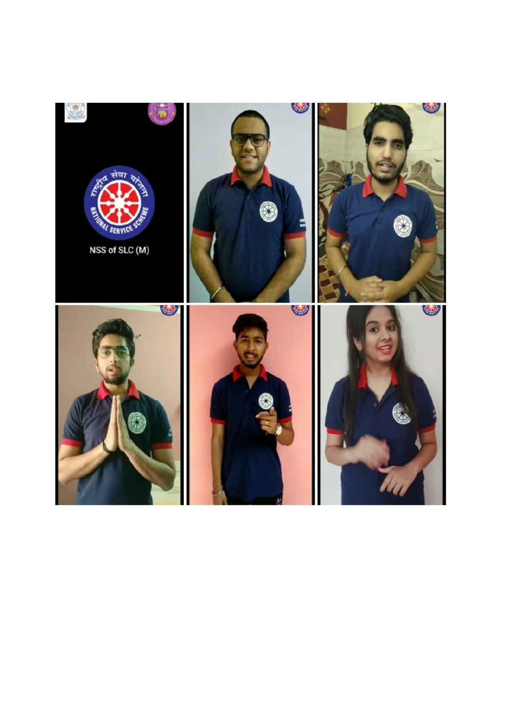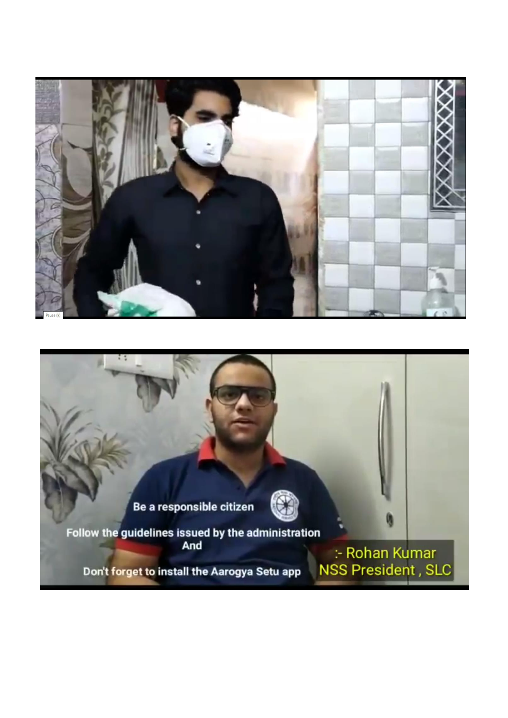